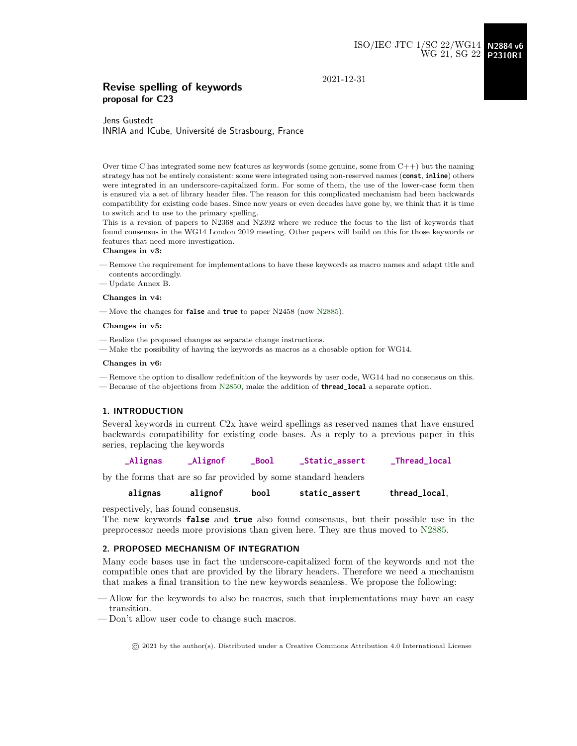2021-12-31

# Revise spelling of keywords proposal for C23

Jens Gustedt INRIA and ICube, Université de Strasbourg, France

Over time C has integrated some new features as keywords (some genuine, some from  $C++$ ) but the naming strategy has not be entirely consistent: some were integrated using non-reserved names (**const**, **inline**) others were integrated in an underscore-capitalized form. For some of them, the use of the lower-case form then is ensured via a set of library header files. The reason for this complicated mechanism had been backwards compatibility for existing code bases. Since now years or even decades have gone by, we think that it is time to switch and to use to the primary spelling.

This is a revsion of papers to N2368 and N2392 where we reduce the focus to the list of keywords that found consensus in the WG14 London 2019 meeting. Other papers will build on this for those keywords or features that need more investigation.

#### Changes in v3:

- Remove the requirement for implementations to have these keywords as macro names and adapt title and contents accordingly.
- Update Annex B.

#### Changes in v4:

— Move the changes for **false** and **true** to paper N2458 (now [N2885\)](http://www.open-std.org/jtc1/sc22/wg14/www/docs/n2885.pdf).

#### Changes in v5:

- Realize the proposed changes as separate change instructions.
- Make the possibility of having the keywords as macros as a chosable option for WG14.

#### Changes in v6:

— Remove the option to disallow redefinition of the keywords by user code, WG14 had no consensus on this. — Because of the objections from [N2850,](http://www.open-std.org/jtc1/sc22/wg14/www/docs/n2850.pdf) make the addition of **thread\_local** a separate option.

#### 1. INTRODUCTION

Several keywords in current C2x have weird spellings as reserved names that have ensured backwards compatibility for existing code bases. As a reply to a previous paper in this series, replacing the keywords

**\_Alignas \_Alignof \_Bool \_Static\_assert \_Thread\_local**

by the forms that are so far provided by some standard headers

**alignas alignof bool static\_assert thread\_local**,

respectively, has found consensus.

The new keywords **false** and **true** also found consensus, but their possible use in the preprocessor needs more provisions than given here. They are thus moved to [N2885.](http://www.open-std.org/jtc1/sc22/wg14/www/docs/n2885.pdf)

### 2. PROPOSED MECHANISM OF INTEGRATION

Many code bases use in fact the underscore-capitalized form of the keywords and not the compatible ones that are provided by the library headers. Therefore we need a mechanism that makes a final transition to the new keywords seamless. We propose the following:

— Allow for the keywords to also be macros, such that implementations may have an easy transition.

— Don't allow user code to change such macros.

© 2021 by the author(s). Distributed under a Creative Commons Attribution 4.0 International License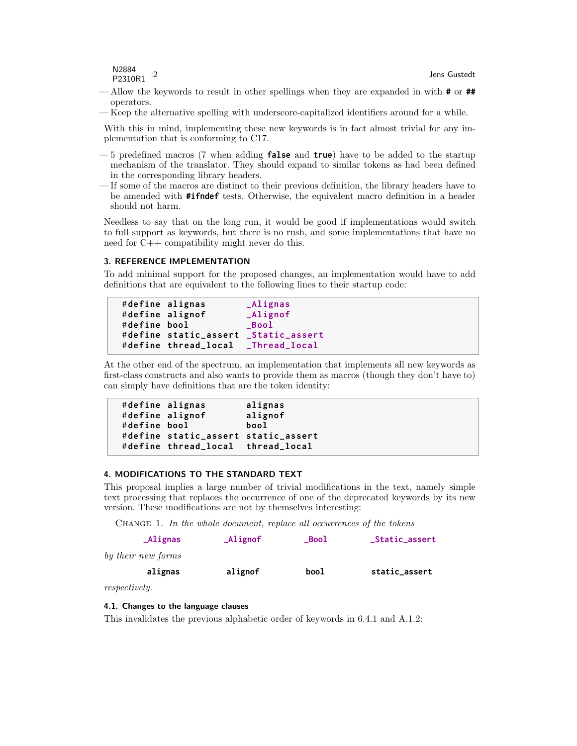N2884 P2310R1 :2

- Allow the keywords to result in other spellings when they are expanded in with **#** or **##** operators.
- Keep the alternative spelling with underscore-capitalized identifiers around for a while.

With this in mind, implementing these new keywords is in fact almost trivial for any implementation that is conforming to C17.

- 5 predefined macros (7 when adding **false** and **true**) have to be added to the startup mechanism of the translator. They should expand to similar tokens as had been defined in the corresponding library headers.
- If some of the macros are distinct to their previous definition, the library headers have to be amended with **#ifndef** tests. Otherwise, the equivalent macro definition in a header should not harm.

Needless to say that on the long run, it would be good if implementations would switch to full support as keywords, but there is no rush, and some implementations that have no need for C++ compatibility might never do this.

# 3. REFERENCE IMPLEMENTATION

To add minimal support for the proposed changes, an implementation would have to add definitions that are equivalent to the following lines to their startup code:

```
# define alignas _Alignas
# define alignof _Alignof
# define bool _Bool
# define static_assert _Static_assert
# define thread_local _Thread_local
```
At the other end of the spectrum, an implementation that implements all new keywords as first-class constructs and also wants to provide them as macros (though they don't have to) can simply have definitions that are the token identity:

```
# define alignas alignas
# define alignof alignof
# define bool bool
# define static_assert static_assert
# define thread_local thread_local
```
# 4. MODIFICATIONS TO THE STANDARD TEXT

This proposal implies a large number of trivial modifications in the text, namely simple text processing that replaces the occurrence of one of the deprecated keywords by its new version. These modifications are not by themselves interesting:

CHANGE 1. In the whole document, replace all occurrences of the tokens

| $\Delta$ lignas    | $\mathsf{\Delta l}$ ignof | $\_Bool$ | _Static_assert |
|--------------------|---------------------------|----------|----------------|
| by their new forms |                           |          |                |
| alignas            | alignof                   | bool     | static_assert  |

respectively.

## 4.1. Changes to the language clauses

This invalidates the previous alphabetic order of keywords in 6.4.1 and A.1.2: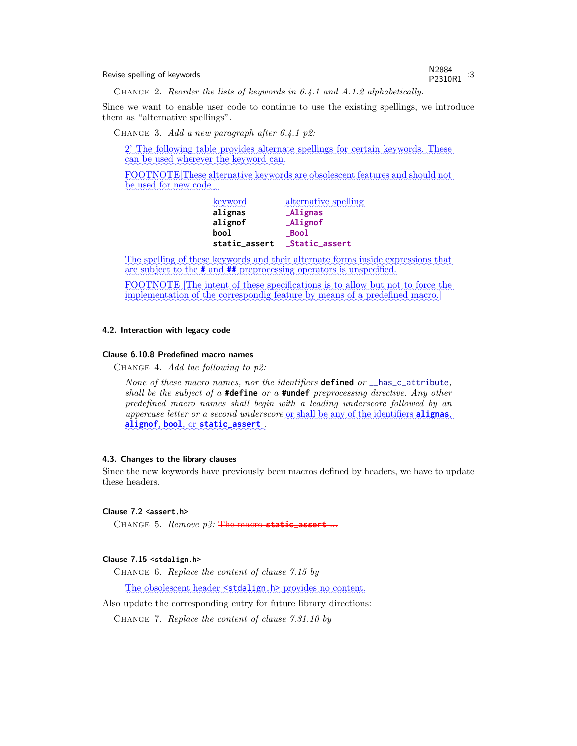Revise spelling of keywords<br>
Revise spelling of keywords

P2310R1 :3

Change 2. Reorder the lists of keywords in 6.4.1 and A.1.2 alphabetically.

Since we want to enable user code to continue to use the existing spellings, we introduce them as "alternative spellings".

CHANGE 3. Add a new paragraph after 6.4.1 p2:

2' The following table provides alternate spellings for certain keywords. These can be used wherever the keyword can.

✿✿✿✿✿✿✿✿✿✿✿✿✿✿✿✿✿ FOOTNOTE [These alternative keywords are obsolescent features and should not be used for new code.]

| keyword       | alternative spelling |
|---------------|----------------------|
| alignas       | <b>_Alignas</b>      |
| alignof       | Alignof              |
| bool          | Bool                 |
| static_assert | _Static_assert       |

The spelling of these keywords and their alternate forms inside expressions that are subject to the **#** and **##** preprocessing operators is unspecified.

FOOTNOTE The intent of these specifications is to allow but not to force the implementation of the correspondig feature by means of a predefined macro.]

# 4.2. Interaction with legacy code

#### Clause 6.10.8 Predefined macro names

CHANGE 4. Add the following to  $p2$ :

None of these macro names, nor the identifiers **defined** or \_\_has\_c\_attribute, shall be the subject of a **#define** or a **#undef** preprocessing directive. Any other predefined macro names shall begin with a leading underscore followed by an uppercase letter or a second underscore <u>or shall be any of the identifiers</u> **alignas**, ✿✿✿✿✿✿✿✿ **alignof**, ✿✿✿✿✿ **bool**, ✿✿ or✿✿✿✿✿✿✿✿✿✿✿✿✿✿✿ **static\_assert** .

#### 4.3. Changes to the library clauses

Since the new keywords have previously been macros defined by headers, we have to update these headers.

# Clause 7.2 **<assert.h>**

CHANGE 5. Remove p3: The macro static\_assert

## Clause 7.15 **<stdalign.h>**

Change 6. Replace the content of clause 7.15 by

The obsolescent header <stdalign.h> provides no content.

Also update the corresponding entry for future library directions:

Change 7. Replace the content of clause 7.31.10 by